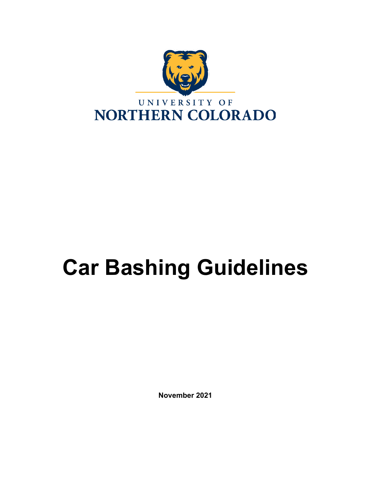

# **Car Bashing Guidelines**

**November 2021**